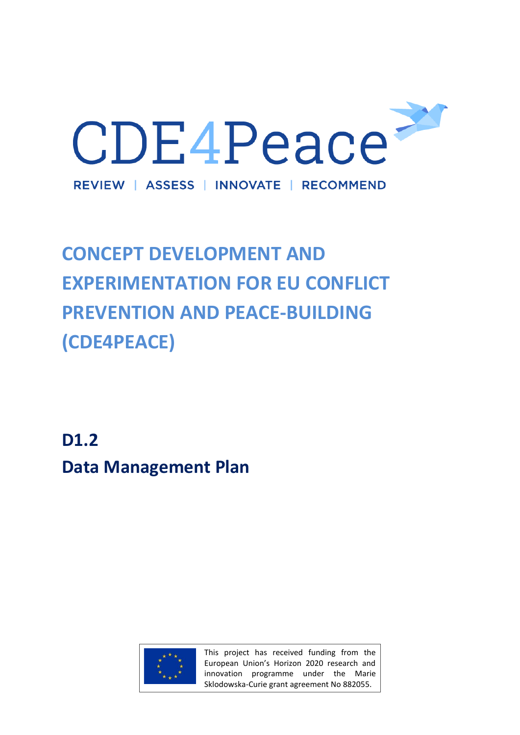

# **CONCEPT DEVELOPMENT AND EXPERIMENTATION FOR EU CONFLICT PREVENTION AND PEACE-BUILDING (CDE4PEACE)**

**D1.2 Data Management Plan**



This project has received funding from the European Union's Horizon 2020 research and innovation programme under the Marie Sklodowska-Curie grant agreement No 882055.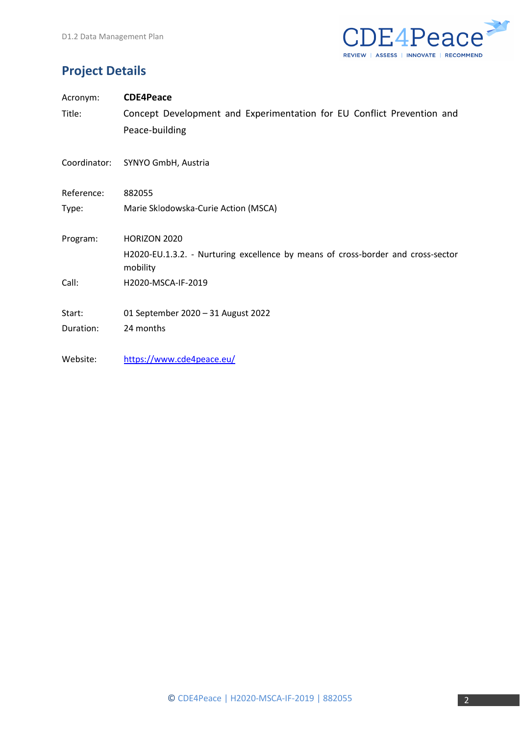

# **Project Details**

| Acronym:   | <b>CDE4Peace</b>                                                                             |
|------------|----------------------------------------------------------------------------------------------|
| Title:     | Concept Development and Experimentation for EU Conflict Prevention and                       |
|            | Peace-building                                                                               |
|            | Coordinator: SYNYO GmbH, Austria                                                             |
| Reference: | 882055                                                                                       |
| Type:      | Marie Sklodowska-Curie Action (MSCA)                                                         |
| Program:   | HORIZON 2020                                                                                 |
|            | H2020-EU.1.3.2. - Nurturing excellence by means of cross-border and cross-sector<br>mobility |
| Call:      | H2020-MSCA-IF-2019                                                                           |
| Start:     | 01 September 2020 - 31 August 2022                                                           |
| Duration:  | 24 months                                                                                    |
| Website:   | https://www.cde4peace.eu/                                                                    |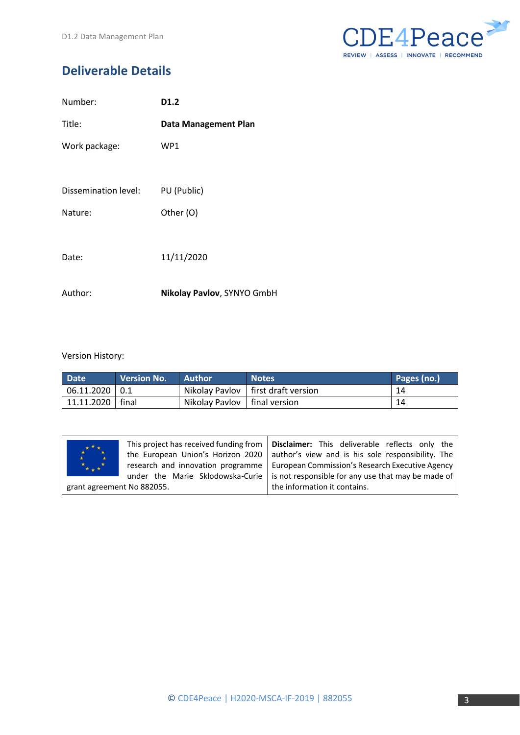

# **Deliverable Details**

| Number:              | D1.2                        |
|----------------------|-----------------------------|
| Title:               | <b>Data Management Plan</b> |
| Work package:        | WP1                         |
|                      |                             |
| Dissemination level: | PU (Public)                 |
| Nature:              | Other (O)                   |
|                      |                             |
| Date:                | 11/11/2020                  |
|                      |                             |
| Author:              | Nikolay Pavlov, SYNYO GmbH  |

#### Version History:

| <b>Date</b>        | <b>Version No.</b> | <b>Author</b>                  | <b>Notes</b>                         | Pages (no.) |
|--------------------|--------------------|--------------------------------|--------------------------------------|-------------|
| $06.11.2020$   0.1 |                    |                                | Nikolay Pavlov   first draft version | 14          |
| 11.11.2020   final |                    | Nikolay Pavlov   final version |                                      | 14          |

| $\star \star \star \star$<br>$*_{**} *$ | This project has received funding from<br>the European Union's Horizon 2020<br>under the Marie Sklodowska-Curie | <b>Disclaimer:</b> This deliverable reflects only the<br>author's view and is his sole responsibility. The<br>research and innovation programme   European Commission's Research Executive Agency<br>is not responsible for any use that may be made of |
|-----------------------------------------|-----------------------------------------------------------------------------------------------------------------|---------------------------------------------------------------------------------------------------------------------------------------------------------------------------------------------------------------------------------------------------------|
| grant agreement No 882055.              |                                                                                                                 | the information it contains.                                                                                                                                                                                                                            |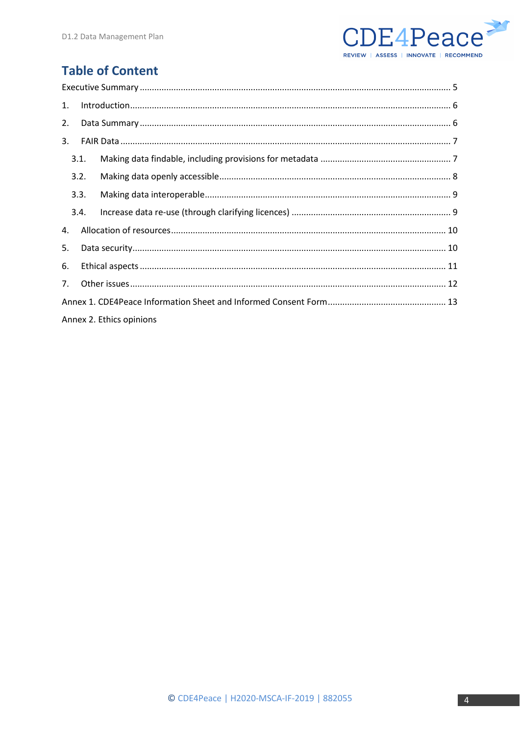

# **Table of Content**

| 1. |      |                          |  |
|----|------|--------------------------|--|
| 2. |      |                          |  |
| 3. |      |                          |  |
|    | 3.1. |                          |  |
|    | 3.2. |                          |  |
|    | 3.3. |                          |  |
|    | 3.4. |                          |  |
| 4. |      |                          |  |
| 5. |      |                          |  |
| 6. |      |                          |  |
| 7. |      |                          |  |
|    |      |                          |  |
|    |      | Annex 2. Ethics opinions |  |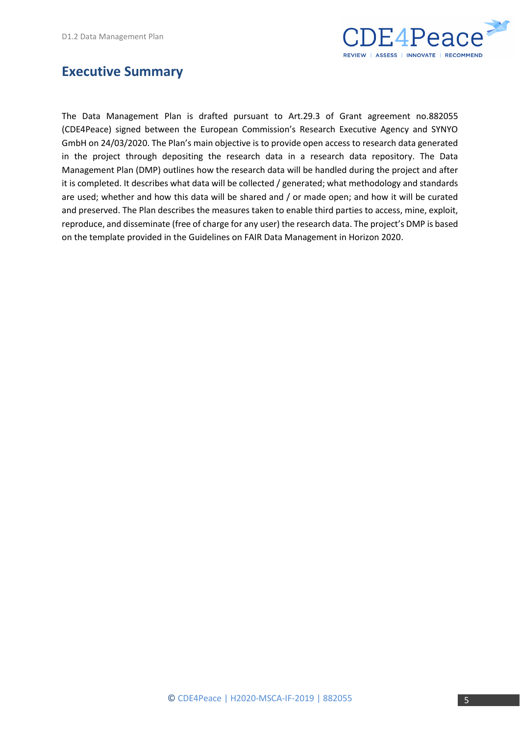

### <span id="page-4-0"></span>**Executive Summary**

The Data Management Plan is drafted pursuant to Art.29.3 of Grant agreement no.882055 (CDE4Peace) signed between the European Commission's Research Executive Agency and SYNYO GmbH on 24/03/2020. The Plan's main objective is to provide open access to research data generated in the project through depositing the research data in a research data repository. The Data Management Plan (DMP) outlines how the research data will be handled during the project and after it is completed. It describes what data will be collected / generated; what methodology and standards are used; whether and how this data will be shared and / or made open; and how it will be curated and preserved. The Plan describes the measures taken to enable third parties to access, mine, exploit, reproduce, and disseminate (free of charge for any user) the research data. The project's DMP is based on the template provided in the Guidelines on FAIR Data Management in Horizon 2020.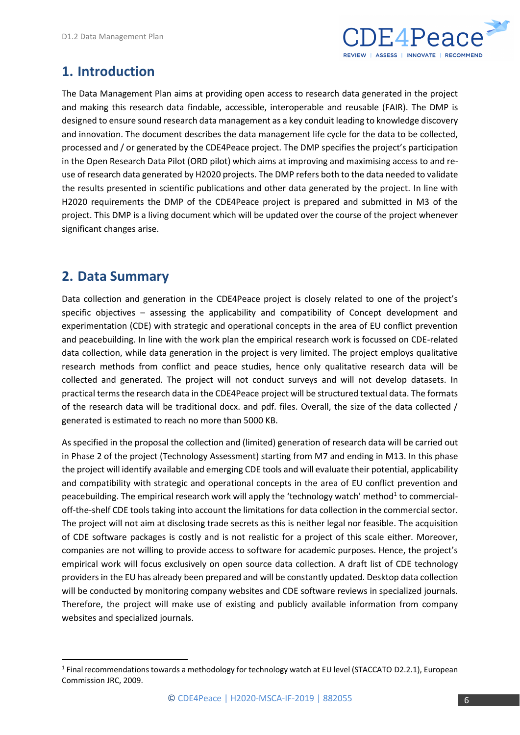

## <span id="page-5-0"></span>**1. Introduction**

The Data Management Plan aims at providing open access to research data generated in the project and making this research data findable, accessible, interoperable and reusable (FAIR). The DMP is designed to ensure sound research data management as a key conduit leading to knowledge discovery and innovation. The document describes the data management life cycle for the data to be collected, processed and / or generated by the CDE4Peace project. The DMP specifies the project's participation in the Open Research Data Pilot (ORD pilot) which aims at improving and maximising access to and reuse of research data generated by H2020 projects. The DMP refers both to the data needed to validate the results presented in scientific publications and other data generated by the project. In line with H2020 requirements the DMP of the CDE4Peace project is prepared and submitted in M3 of the project. This DMP is a living document which will be updated over the course of the project whenever significant changes arise.

# <span id="page-5-1"></span>**2. Data Summary**

Data collection and generation in the CDE4Peace project is closely related to one of the project's specific objectives – assessing the applicability and compatibility of Concept development and experimentation (CDE) with strategic and operational concepts in the area of EU conflict prevention and peacebuilding. In line with the work plan the empirical research work is focussed on CDE-related data collection, while data generation in the project is very limited. The project employs qualitative research methods from conflict and peace studies, hence only qualitative research data will be collected and generated. The project will not conduct surveys and will not develop datasets. In practical terms the research data in the CDE4Peace project will be structured textual data. The formats of the research data will be traditional docx. and pdf. files. Overall, the size of the data collected / generated is estimated to reach no more than 5000 KB.

As specified in the proposal the collection and (limited) generation of research data will be carried out in Phase 2 of the project (Technology Assessment) starting from M7 and ending in M13. In this phase the project will identify available and emerging CDE tools and will evaluate their potential, applicability and compatibility with strategic and operational concepts in the area of EU conflict prevention and peacebuilding. The empirical research work will apply the 'technology watch' method<sup>1</sup> to commercialoff-the-shelf CDE tools taking into account the limitations for data collection in the commercial sector. The project will not aim at disclosing trade secrets as this is neither legal nor feasible. The acquisition of CDE software packages is costly and is not realistic for a project of this scale either. Moreover, companies are not willing to provide access to software for academic purposes. Hence, the project's empirical work will focus exclusively on open source data collection. A draft list of CDE technology providers in the EU has already been prepared and will be constantly updated. Desktop data collection will be conducted by monitoring company websites and CDE software reviews in specialized journals. Therefore, the project will make use of existing and publicly available information from company websites and specialized journals.

<sup>&</sup>lt;sup>1</sup> Final recommendations towards a methodology for technology watch at EU level (STACCATO D2.2.1), European Commission JRC, 2009.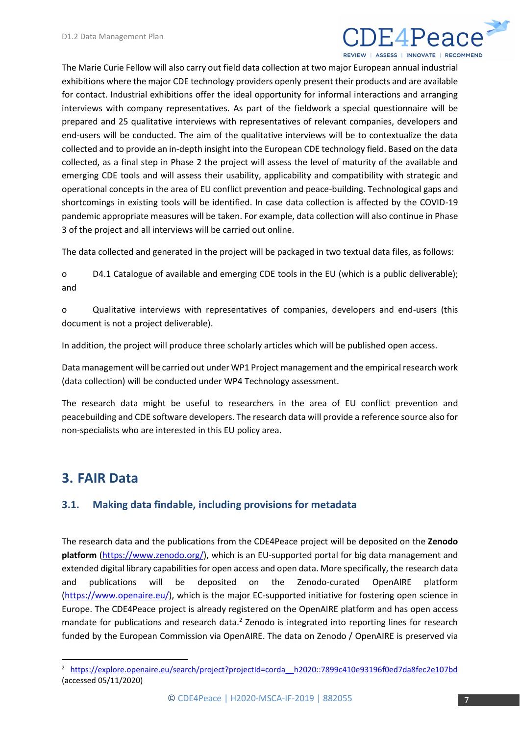

The Marie Curie Fellow will also carry out field data collection at two major European annual industrial exhibitions where the major CDE technology providers openly present their products and are available for contact. Industrial exhibitions offer the ideal opportunity for informal interactions and arranging interviews with company representatives. As part of the fieldwork a special questionnaire will be prepared and 25 qualitative interviews with representatives of relevant companies, developers and end-users will be conducted. The aim of the qualitative interviews will be to contextualize the data collected and to provide an in-depth insight into the European CDE technology field. Based on the data collected, as a final step in Phase 2 the project will assess the level of maturity of the available and emerging CDE tools and will assess their usability, applicability and compatibility with strategic and operational concepts in the area of EU conflict prevention and peace-building. Technological gaps and shortcomings in existing tools will be identified. In case data collection is affected by the COVID-19 pandemic appropriate measures will be taken. For example, data collection will also continue in Phase 3 of the project and all interviews will be carried out online.

The data collected and generated in the project will be packaged in two textual data files, as follows:

o D4.1 Catalogue of available and emerging CDE tools in the EU (which is a public deliverable); and

o Qualitative interviews with representatives of companies, developers and end-users (this document is not a project deliverable).

In addition, the project will produce three scholarly articles which will be published open access.

Data management will be carried out under WP1 Project management and the empirical research work (data collection) will be conducted under WP4 Technology assessment.

The research data might be useful to researchers in the area of EU conflict prevention and peacebuilding and CDE software developers. The research data will provide a reference source also for non-specialists who are interested in this EU policy area.

# <span id="page-6-0"></span>**3. FAIR Data**

#### <span id="page-6-1"></span>**3.1. Making data findable, including provisions for metadata**

The research data and the publications from the CDE4Peace project will be deposited on the **Zenodo platform** [\(https://www.zenodo.org/\)](https://www.zenodo.org/), which is an EU-supported portal for big data management and extended digital library capabilities for open access and open data. More specifically, the research data and publications will be deposited on the Zenodo-curated OpenAIRE platform [\(https://www.openaire.eu/\)](https://www.openaire.eu/), which is the major EC-supported initiative for fostering open science in Europe. The CDE4Peace project is already registered on the OpenAIRE platform and has open access mandate for publications and research data.<sup>2</sup> Zenodo is integrated into reporting lines for research funded by the European Commission via OpenAIRE. The data on Zenodo / OpenAIRE is preserved via

<sup>&</sup>lt;sup>2</sup> https://explore.openaire.eu/search/project?projectId=corda h2020::7899c410e93196f0ed7da8fec2e107bd (accessed 05/11/2020)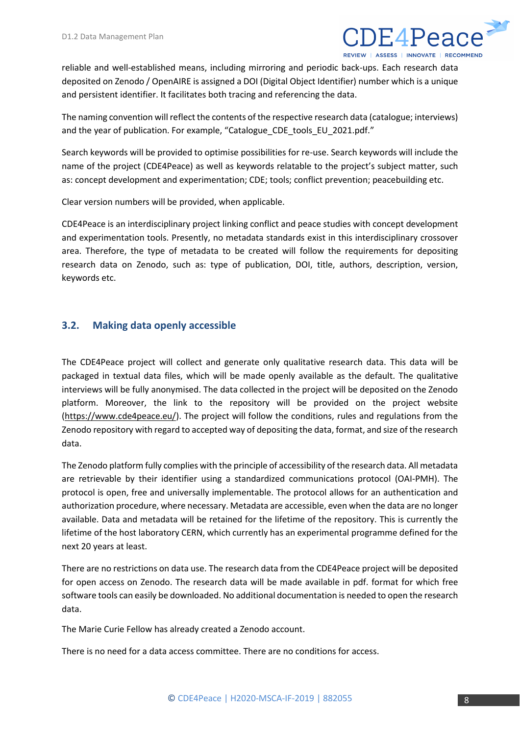

reliable and well-established means, including mirroring and periodic back-ups. Each research data deposited on Zenodo / OpenAIRE is assigned a DOI (Digital Object Identifier) number which is a unique and persistent identifier. It facilitates both tracing and referencing the data.

The naming convention will reflect the contents of the respective research data (catalogue; interviews) and the year of publication. For example, "Catalogue\_CDE\_tools\_EU\_2021.pdf."

Search keywords will be provided to optimise possibilities for re-use. Search keywords will include the name of the project (CDE4Peace) as well as keywords relatable to the project's subject matter, such as: concept development and experimentation; CDE; tools; conflict prevention; peacebuilding etc.

Clear version numbers will be provided, when applicable.

CDE4Peace is an interdisciplinary project linking conflict and peace studies with concept development and experimentation tools. Presently, no metadata standards exist in this interdisciplinary crossover area. Therefore, the type of metadata to be created will follow the requirements for depositing research data on Zenodo, such as: type of publication, DOI, title, authors, description, version, keywords etc.

#### <span id="page-7-0"></span>**3.2. Making data openly accessible**

The CDE4Peace project will collect and generate only qualitative research data. This data will be packaged in textual data files, which will be made openly available as the default. The qualitative interviews will be fully anonymised. The data collected in the project will be deposited on the Zenodo platform. Moreover, the link to the repository will be provided on the project website [\(https://www.cde4peace.eu/\)](https://www.cde4peace.eu/). The project will follow the conditions, rules and regulations from the Zenodo repository with regard to accepted way of depositing the data, format, and size of the research data.

The Zenodo platform fully complies with the principle of accessibility of the research data. All metadata are retrievable by their identifier using a standardized communications protocol (OAI-PMH). The protocol is open, free and universally implementable. The protocol allows for an authentication and authorization procedure, where necessary. Metadata are accessible, even when the data are no longer available. Data and metadata will be retained for the lifetime of the repository. This is currently the lifetime of the host laboratory CERN, which currently has an experimental programme defined for the next 20 years at least.

There are no restrictions on data use. The research data from the CDE4Peace project will be deposited for open access on Zenodo. The research data will be made available in pdf. format for which free software tools can easily be downloaded. No additional documentation is needed to open the research data.

The Marie Curie Fellow has already created a Zenodo account.

There is no need for a data access committee. There are no conditions for access.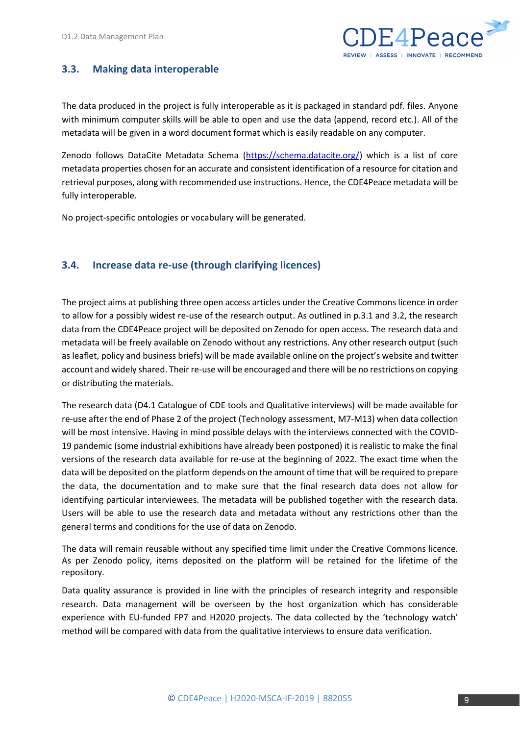

#### <span id="page-8-0"></span>**3.3. Making data interoperable**

The data produced in the project is fully interoperable as it is packaged in standard pdf. files. Anyone with minimum computer skills will be able to open and use the data (append, record etc.). All of the metadata will be given in a word document format which is easily readable on any computer.

Zenodo follows DataCite Metadata Schema [\(https://schema.datacite.org/\)](https://schema.datacite.org/) which is a list of core metadata properties chosen for an accurate and consistent identification of a resource for citation and retrieval purposes, along with recommended use instructions. Hence, the CDE4Peace metadata will be fully interoperable.

No project-specific ontologies or vocabulary will be generated.

#### <span id="page-8-1"></span>**3.4. Increase data re-use (through clarifying licences)**

The project aims at publishing three open access articles under the Creative Commons licence in order to allow for a possibly widest re-use of the research output. As outlined in p.3.1 and 3.2, the research data from the CDE4Peace project will be deposited on Zenodo for open access. The research data and metadata will be freely available on Zenodo without any restrictions. Any other research output (such as leaflet, policy and business briefs) will be made available online on the project's website and twitter account and widely shared. Their re-use will be encouraged and there will be no restrictions on copying or distributing the materials.

The research data (D4.1 Catalogue of CDE tools and Qualitative interviews) will be made available for re-use after the end of Phase 2 of the project (Technology assessment, M7-M13) when data collection will be most intensive. Having in mind possible delays with the interviews connected with the COVID-19 pandemic (some industrial exhibitions have already been postponed) it is realistic to make the final versions of the research data available for re-use at the beginning of 2022. The exact time when the data will be deposited on the platform depends on the amount of time that will be required to prepare the data, the documentation and to make sure that the final research data does not allow for identifying particular interviewees. The metadata will be published together with the research data. Users will be able to use the research data and metadata without any restrictions other than the general terms and conditions for the use of data on Zenodo.

The data will remain reusable without any specified time limit under the Creative Commons licence. As per Zenodo policy, items deposited on the platform will be retained for the lifetime of the repository.

Data quality assurance is provided in line with the principles of research integrity and responsible research. Data management will be overseen by the host organization which has considerable experience with EU-funded FP7 and H2020 projects. The data collected by the 'technology watch' method will be compared with data from the qualitative interviews to ensure data verification.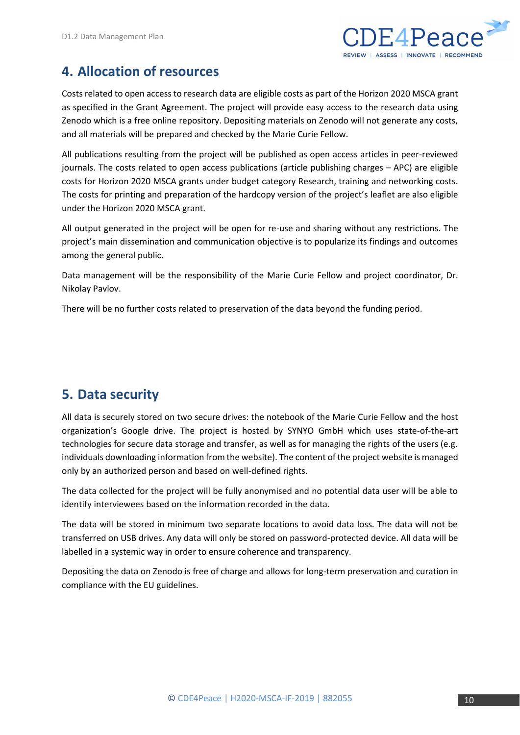

# <span id="page-9-0"></span>**4. Allocation of resources**

Costs related to open access to research data are eligible costs as part of the Horizon 2020 MSCA grant as specified in the Grant Agreement. The project will provide easy access to the research data using Zenodo which is a free online repository. Depositing materials on Zenodo will not generate any costs, and all materials will be prepared and checked by the Marie Curie Fellow.

All publications resulting from the project will be published as open access articles in peer-reviewed journals. The costs related to open access publications (article publishing charges – APC) are eligible costs for Horizon 2020 MSCA grants under budget category Research, training and networking costs. The costs for printing and preparation of the hardcopy version of the project's leaflet are also eligible under the Horizon 2020 MSCA grant.

All output generated in the project will be open for re-use and sharing without any restrictions. The project's main dissemination and communication objective is to popularize its findings and outcomes among the general public.

Data management will be the responsibility of the Marie Curie Fellow and project coordinator, Dr. Nikolay Pavlov.

There will be no further costs related to preservation of the data beyond the funding period.

# <span id="page-9-1"></span>**5. Data security**

All data is securely stored on two secure drives: the notebook of the Marie Curie Fellow and the host organization's Google drive. The project is hosted by SYNYO GmbH which uses state-of-the-art technologies for secure data storage and transfer, as well as for managing the rights of the users (e.g. individuals downloading information from the website). The content of the project website is managed only by an authorized person and based on well-defined rights.

The data collected for the project will be fully anonymised and no potential data user will be able to identify interviewees based on the information recorded in the data.

The data will be stored in minimum two separate locations to avoid data loss. The data will not be transferred on USB drives. Any data will only be stored on password-protected device. All data will be labelled in a systemic way in order to ensure coherence and transparency.

Depositing the data on Zenodo is free of charge and allows for long-term preservation and curation in compliance with the EU guidelines.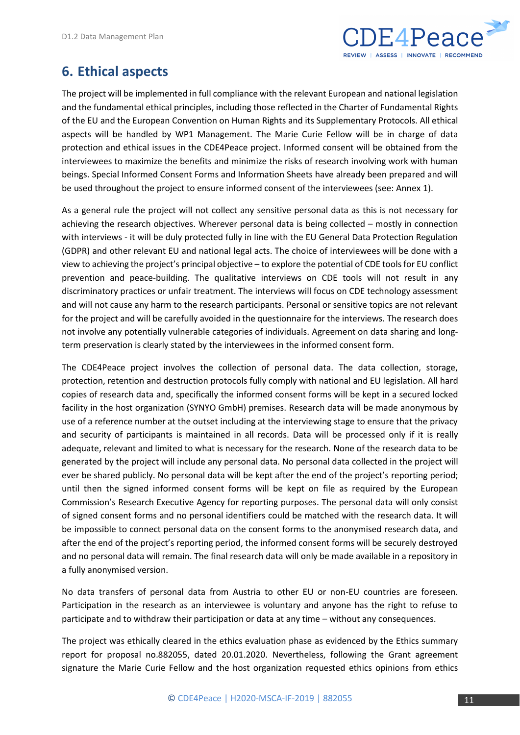

### <span id="page-10-0"></span>**6. Ethical aspects**

The project will be implemented in full compliance with the relevant European and national legislation and the fundamental ethical principles, including those reflected in the Charter of Fundamental Rights of the EU and the European Convention on Human Rights and its Supplementary Protocols. All ethical aspects will be handled by WP1 Management. The Marie Curie Fellow will be in charge of data protection and ethical issues in the CDE4Peace project. Informed consent will be obtained from the interviewees to maximize the benefits and minimize the risks of research involving work with human beings. Special Informed Consent Forms and Information Sheets have already been prepared and will be used throughout the project to ensure informed consent of the interviewees (see: Annex 1).

As a general rule the project will not collect any sensitive personal data as this is not necessary for achieving the research objectives. Wherever personal data is being collected – mostly in connection with interviews - it will be duly protected fully in line with the EU General Data Protection Regulation (GDPR) and other relevant EU and national legal acts. The choice of interviewees will be done with a view to achieving the project's principal objective – to explore the potential of CDE tools for EU conflict prevention and peace-building. The qualitative interviews on CDE tools will not result in any discriminatory practices or unfair treatment. The interviews will focus on CDE technology assessment and will not cause any harm to the research participants. Personal or sensitive topics are not relevant for the project and will be carefully avoided in the questionnaire for the interviews. The research does not involve any potentially vulnerable categories of individuals. Agreement on data sharing and longterm preservation is clearly stated by the interviewees in the informed consent form.

The CDE4Peace project involves the collection of personal data. The data collection, storage, protection, retention and destruction protocols fully comply with national and EU legislation. All hard copies of research data and, specifically the informed consent forms will be kept in a secured locked facility in the host organization (SYNYO GmbH) premises. Research data will be made anonymous by use of a reference number at the outset including at the interviewing stage to ensure that the privacy and security of participants is maintained in all records. Data will be processed only if it is really adequate, relevant and limited to what is necessary for the research. None of the research data to be generated by the project will include any personal data. No personal data collected in the project will ever be shared publicly. No personal data will be kept after the end of the project's reporting period; until then the signed informed consent forms will be kept on file as required by the European Commission's Research Executive Agency for reporting purposes. The personal data will only consist of signed consent forms and no personal identifiers could be matched with the research data. It will be impossible to connect personal data on the consent forms to the anonymised research data, and after the end of the project's reporting period, the informed consent forms will be securely destroyed and no personal data will remain. The final research data will only be made available in a repository in a fully anonymised version.

No data transfers of personal data from Austria to other EU or non-EU countries are foreseen. Participation in the research as an interviewee is voluntary and anyone has the right to refuse to participate and to withdraw their participation or data at any time – without any consequences.

The project was ethically cleared in the ethics evaluation phase as evidenced by the Ethics summary report for proposal no.882055, dated 20.01.2020. Nevertheless, following the Grant agreement signature the Marie Curie Fellow and the host organization requested ethics opinions from ethics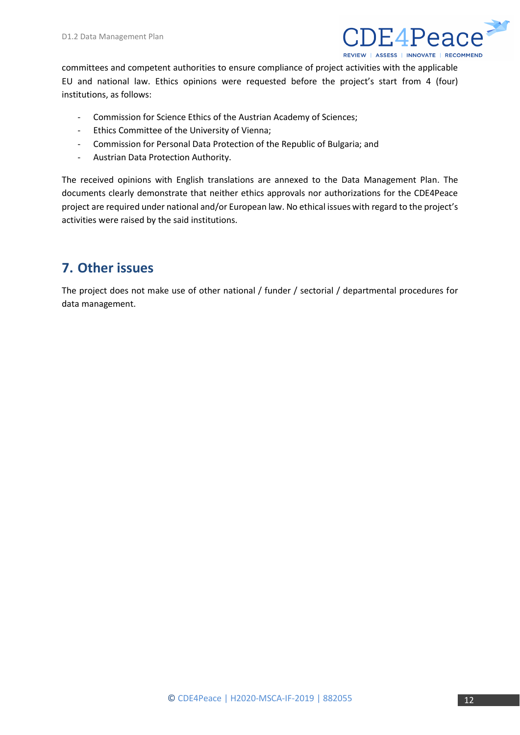

committees and competent authorities to ensure compliance of project activities with the applicable EU and national law. Ethics opinions were requested before the project's start from 4 (four) institutions, as follows:

- Commission for Science Ethics of the Austrian Academy of Sciences;
- Ethics Committee of the University of Vienna;
- Commission for Personal Data Protection of the Republic of Bulgaria; and
- Austrian Data Protection Authority.

The received opinions with English translations are annexed to the Data Management Plan. The documents clearly demonstrate that neither ethics approvals nor authorizations for the CDE4Peace project are required under national and/or European law. No ethical issues with regard to the project's activities were raised by the said institutions.

### <span id="page-11-0"></span>**7. Other issues**

The project does not make use of other national / funder / sectorial / departmental procedures for data management.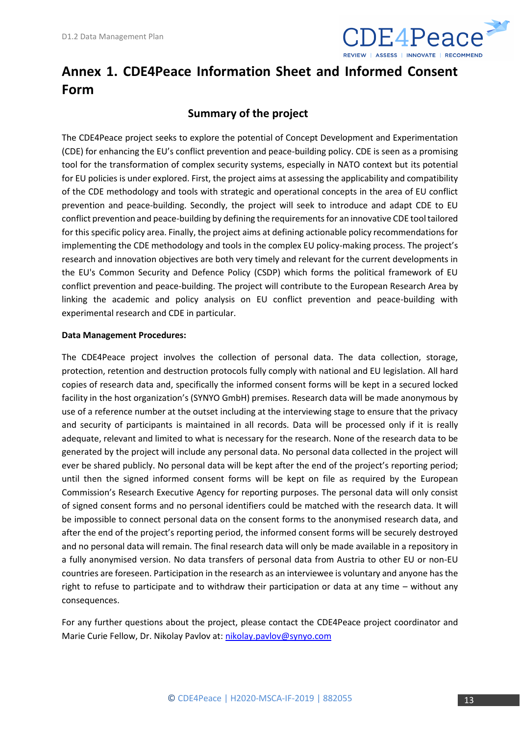

# <span id="page-12-0"></span>**Annex 1. CDE4Peace Information Sheet and Informed Consent Form**

#### **Summary of the project**

The CDE4Peace project seeks to explore the potential of Concept Development and Experimentation (CDE) for enhancing the EU's conflict prevention and peace-building policy. CDE is seen as a promising tool for the transformation of complex security systems, especially in NATO context but its potential for EU policies is under explored. First, the project aims at assessing the applicability and compatibility of the CDE methodology and tools with strategic and operational concepts in the area of EU conflict prevention and peace-building. Secondly, the project will seek to introduce and adapt CDE to EU conflict prevention and peace-building by defining the requirements for an innovative CDE tool tailored for this specific policy area. Finally, the project aims at defining actionable policy recommendations for implementing the CDE methodology and tools in the complex EU policy-making process. The project's research and innovation objectives are both very timely and relevant for the current developments in the EU's Common Security and Defence Policy (CSDP) which forms the political framework of EU conflict prevention and peace-building. The project will contribute to the European Research Area by linking the academic and policy analysis on EU conflict prevention and peace-building with experimental research and CDE in particular.

#### **Data Management Procedures:**

The CDE4Peace project involves the collection of personal data. The data collection, storage, protection, retention and destruction protocols fully comply with national and EU legislation. All hard copies of research data and, specifically the informed consent forms will be kept in a secured locked facility in the host organization's (SYNYO GmbH) premises. Research data will be made anonymous by use of a reference number at the outset including at the interviewing stage to ensure that the privacy and security of participants is maintained in all records. Data will be processed only if it is really adequate, relevant and limited to what is necessary for the research. None of the research data to be generated by the project will include any personal data. No personal data collected in the project will ever be shared publicly. No personal data will be kept after the end of the project's reporting period; until then the signed informed consent forms will be kept on file as required by the European Commission's Research Executive Agency for reporting purposes. The personal data will only consist of signed consent forms and no personal identifiers could be matched with the research data. It will be impossible to connect personal data on the consent forms to the anonymised research data, and after the end of the project's reporting period, the informed consent forms will be securely destroyed and no personal data will remain. The final research data will only be made available in a repository in a fully anonymised version. No data transfers of personal data from Austria to other EU or non-EU countries are foreseen. Participation in the research as an interviewee is voluntary and anyone has the right to refuse to participate and to withdraw their participation or data at any time – without any consequences.

For any further questions about the project, please contact the CDE4Peace project coordinator and Marie Curie Fellow, Dr. Nikolay Pavlov at: [nikolay.pavlov@synyo.com](mailto:nikolay.pavlov@synyo.com)